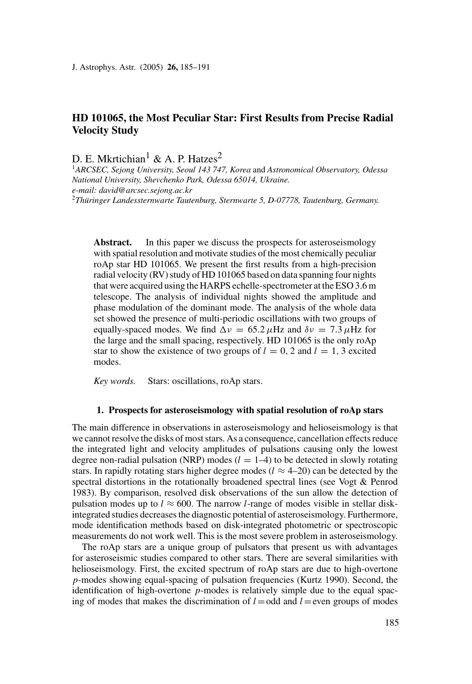# **HD 101065, the Most Peculiar Star: First Results from Precise Radial Velocity Study**

D. E. Mkrtichian<sup>1</sup> & A. P. Hatzes<sup>2</sup>

<sup>1</sup>*ARCSEC, Sejong University, Seoul 143 747, Korea* and *Astronomical Observatory, Odessa National University, Shevchenko Park, Odessa 65014, Ukraine. e-mail: david@arcsec.sejong.ac.kr*

<sup>2</sup>*Thuringer Landessternwarte Tautenburg, Sternwarte 5, D-07778, Tautenburg, Germany. ¨*

Abstract. In this paper we discuss the prospects for asteroseismology with spatial resolution and motivate studies of the most chemically peculiar roAp star HD 101065. We present the first results from a high-precision radial velocity (RV) study of HD 101065 based on data spanning four nights that were acquired using the HARPS echelle-spectrometer at the ESO 3.6 m telescope. The analysis of individual nights showed the amplitude and phase modulation of the dominant mode. The analysis of the whole data set showed the presence of multi-periodic oscillations with two groups of equally-spaced modes. We find  $\Delta v = 65.2 \mu$ Hz and  $\delta v = 7.3 \mu$ Hz for the large and the small spacing, respectively. HD 101065 is the only roAp star to show the existence of two groups of  $l = 0, 2$  and  $l = 1, 3$  excited modes.

*Key words.* Stars: oscillations, roAp stars.

### **1. Prospects for asteroseismology with spatial resolution of roAp stars**

The main difference in observations in asteroseismology and helioseismology is that we cannot resolve the disks of most stars. As a consequence, cancellation effects reduce the integrated light and velocity amplitudes of pulsations causing only the lowest degree non-radial pulsation (NRP) modes  $(l = 1-4)$  to be detected in slowly rotating stars. In rapidly rotating stars higher degree modes ( $l \approx 4-20$ ) can be detected by the spectral distortions in the rotationally broadened spectral lines (see Vogt & Penrod 1983). By comparison, resolved disk observations of the sun allow the detection of pulsation modes up to  $l \approx 600$ . The narrow *l*-range of modes visible in stellar diskintegrated studies decreases the diagnostic potential of asteroseismology. Furthermore, mode identification methods based on disk-integrated photometric or spectroscopic measurements do not work well. This is the most severe problem in asteroseismology.

The roAp stars are a unique group of pulsators that present us with advantages for asteroseismic studies compared to other stars. There are several similarities with helioseismology. First, the excited spectrum of roAp stars are due to high-overtone *p*-modes showing equal-spacing of pulsation frequencies (Kurtz 1990). Second, the identification of high-overtone *p*-modes is relatively simple due to the equal spacing of modes that makes the discrimination of  $l =$ odd and  $l =$ even groups of modes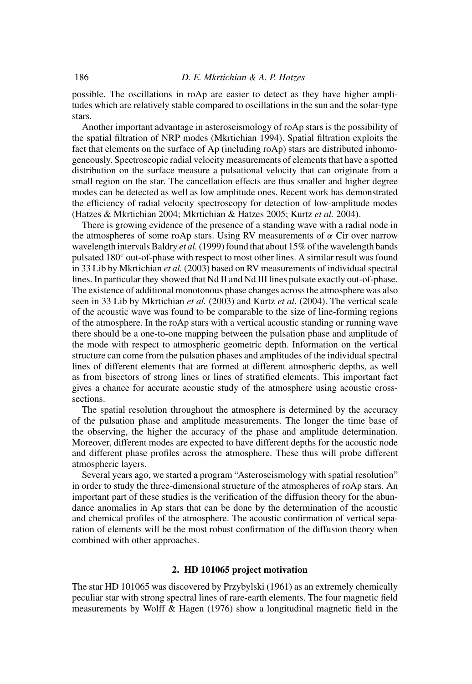possible. The oscillations in roAp are easier to detect as they have higher amplitudes which are relatively stable compared to oscillations in the sun and the solar-type stars.

Another important advantage in asteroseismology of roAp stars is the possibility of the spatial filtration of NRP modes (Mkrtichian 1994). Spatial filtration exploits the fact that elements on the surface of Ap (including roAp) stars are distributed inhomogeneously. Spectroscopic radial velocity measurements of elements that have a spotted distribution on the surface measure a pulsational velocity that can originate from a small region on the star. The cancellation effects are thus smaller and higher degree modes can be detected as well as low amplitude ones. Recent work has demonstrated the efficiency of radial velocity spectroscopy for detection of low-amplitude modes (Hatzes & Mkrtichian 2004; Mkrtichian & Hatzes 2005; Kurtz *et al.* 2004).

There is growing evidence of the presence of a standing wave with a radial node in the atmospheres of some roAp stars. Using RV measurements of  $\alpha$  Cir over narrow wavelength intervals Baldry *et al.*(1999) found that about 15% of the wavelength bands pulsated 180◦ out-of-phase with respect to most other lines. A similar result was found in 33 Lib by Mkrtichian *et al.* (2003) based on RV measurements of individual spectral lines. In particular they showed that Nd II and Nd III lines pulsate exactly out-of-phase. The existence of additional monotonous phase changes across the atmosphere was also seen in 33 Lib by Mkrtichian *et al.* (2003) and Kurtz *et al.* (2004). The vertical scale of the acoustic wave was found to be comparable to the size of line-forming regions of the atmosphere. In the roAp stars with a vertical acoustic standing or running wave there should be a one-to-one mapping between the pulsation phase and amplitude of the mode with respect to atmospheric geometric depth. Information on the vertical structure can come from the pulsation phases and amplitudes of the individual spectral lines of different elements that are formed at different atmospheric depths, as well as from bisectors of strong lines or lines of stratified elements. This important fact gives a chance for accurate acoustic study of the atmosphere using acoustic crosssections.

The spatial resolution throughout the atmosphere is determined by the accuracy of the pulsation phase and amplitude measurements. The longer the time base of the observing, the higher the accuracy of the phase and amplitude determination. Moreover, different modes are expected to have different depths for the acoustic node and different phase profiles across the atmosphere. These thus will probe different atmospheric layers.

Several years ago, we started a program "Asteroseismology with spatial resolution" in order to study the three-dimensional structure of the atmospheres of roAp stars. An important part of these studies is the verification of the diffusion theory for the abundance anomalies in Ap stars that can be done by the determination of the acoustic and chemical profiles of the atmosphere. The acoustic confirmation of vertical separation of elements will be the most robust confirmation of the diffusion theory when combined with other approaches.

## **2. HD 101065 project motivation**

The star HD 101065 was discovered by Przybylski (1961) as an extremely chemically peculiar star with strong spectral lines of rare-earth elements. The four magnetic field measurements by Wolff & Hagen (1976) show a longitudinal magnetic field in the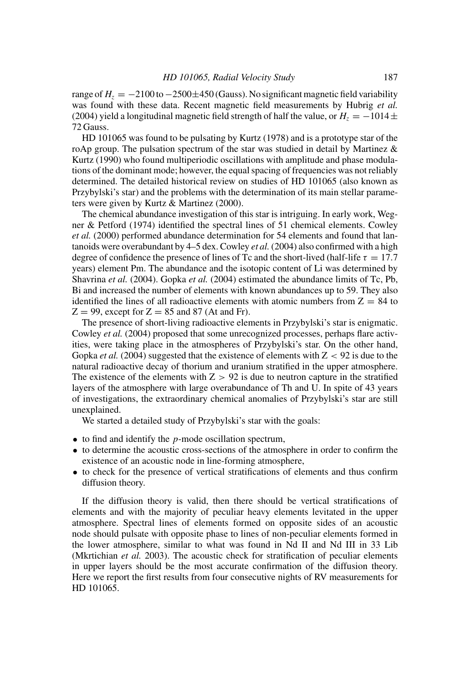range of  $H<sub>z</sub> = -2100$  to  $-2500\pm450$  (Gauss). No significant magnetic field variability was found with these data. Recent magnetic field measurements by Hubrig *et al.* (2004) yield a longitudinal magnetic field strength of half the value, or  $H_z = -1014 \pm$ 72 Gauss.

HD 101065 was found to be pulsating by Kurtz (1978) and is a prototype star of the roAp group. The pulsation spectrum of the star was studied in detail by Martinez  $\&$ Kurtz (1990) who found multiperiodic oscillations with amplitude and phase modulations of the dominant mode; however, the equal spacing of frequencies was not reliably determined. The detailed historical review on studies of HD 101065 (also known as Przybylski's star) and the problems with the determination of its main stellar parameters were given by Kurtz & Martinez (2000).

The chemical abundance investigation of this star is intriguing. In early work, Wegner & Petford (1974) identified the spectral lines of 51 chemical elements. Cowley *et al.* (2000) performed abundance determination for 54 elements and found that lantanoids were overabundant by 4–5 dex. Cowley *et al.* (2004) also confirmed with a high degree of confidence the presence of lines of Tc and the short-lived (half-life  $\tau = 17.7$ years) element Pm. The abundance and the isotopic content of Li was determined by Shavrina *et al.* (2004). Gopka *et al.* (2004) estimated the abundance limits of Tc, Pb, Bi and increased the number of elements with known abundances up to 59. They also identified the lines of all radioactive elements with atomic numbers from  $Z = 84$  to  $Z = 99$ , except for  $Z = 85$  and 87 (At and Fr).

The presence of short-living radioactive elements in Przybylski's star is enigmatic. Cowley *et al.* (2004) proposed that some unrecognized processes, perhaps flare activities, were taking place in the atmospheres of Przybylski's star. On the other hand, Gopka *et al.* (2004) suggested that the existence of elements with Z *<* 92 is due to the natural radioactive decay of thorium and uranium stratified in the upper atmosphere. The existence of the elements with  $Z > 92$  is due to neutron capture in the stratified layers of the atmosphere with large overabundance of Th and U. In spite of 43 years of investigations, the extraordinary chemical anomalies of Przybylski's star are still unexplained.

We started a detailed study of Przybylski's star with the goals:

- to find and identify the *p*-mode oscillation spectrum,
- to determine the acoustic cross-sections of the atmosphere in order to confirm the existence of an acoustic node in line-forming atmosphere,
- to check for the presence of vertical stratifications of elements and thus confirm diffusion theory.

If the diffusion theory is valid, then there should be vertical stratifications of elements and with the majority of peculiar heavy elements levitated in the upper atmosphere. Spectral lines of elements formed on opposite sides of an acoustic node should pulsate with opposite phase to lines of non-peculiar elements formed in the lower atmosphere, similar to what was found in Nd II and Nd III in 33 Lib (Mkrtichian *et al.* 2003). The acoustic check for stratification of peculiar elements in upper layers should be the most accurate confirmation of the diffusion theory. Here we report the first results from four consecutive nights of RV measurements for HD 101065.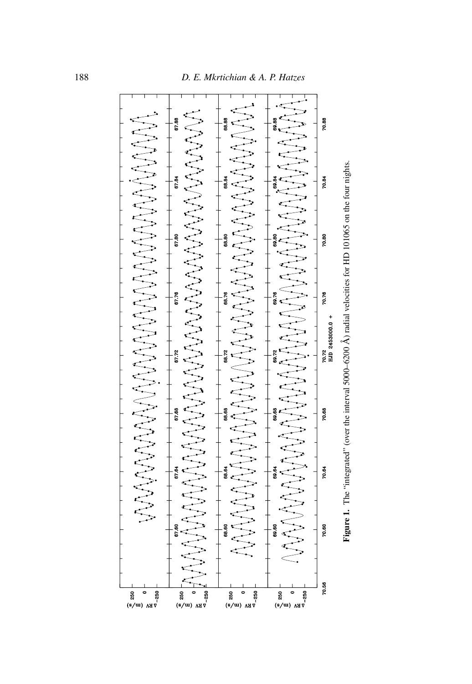

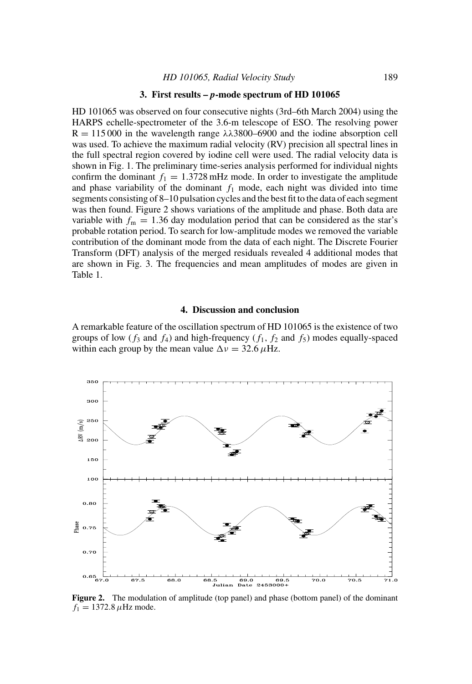#### **3. First results –** *p***-mode spectrum of HD 101065**

HD 101065 was observed on four consecutive nights (3rd–6th March 2004) using the HARPS echelle-spectrometer of the 3.6-m telescope of ESO. The resolving power  $R = 115000$  in the wavelength range  $\lambda \lambda 3800 - 6900$  and the iodine absorption cell was used. To achieve the maximum radial velocity (RV) precision all spectral lines in the full spectral region covered by iodine cell were used. The radial velocity data is shown in Fig. 1. The preliminary time-series analysis performed for individual nights confirm the dominant  $f_1 = 1.3728$  mHz mode. In order to investigate the amplitude and phase variability of the dominant  $f_1$  mode, each night was divided into time segments consisting of 8–10 pulsation cycles and the best fit to the data of each segment was then found. Figure 2 shows variations of the amplitude and phase. Both data are variable with  $f_m = 1.36$  day modulation period that can be considered as the star's probable rotation period. To search for low-amplitude modes we removed the variable contribution of the dominant mode from the data of each night. The Discrete Fourier Transform (DFT) analysis of the merged residuals revealed 4 additional modes that are shown in Fig. 3. The frequencies and mean amplitudes of modes are given in Table 1.

#### **4. Discussion and conclusion**

A remarkable feature of the oscillation spectrum of HD 101065 is the existence of two groups of low  $(f_3$  and  $f_4$ ) and high-frequency  $(f_1, f_2, f_3)$  modes equally-spaced within each group by the mean value  $\Delta v = 32.6 \,\mu$ Hz.



Figure 2. The modulation of amplitude (top panel) and phase (bottom panel) of the dominant  $f_1 = 1372.8 \,\mu$ Hz mode.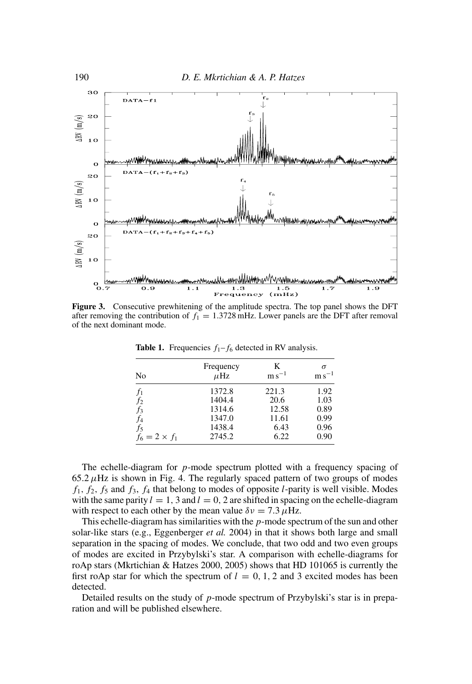

**Figure 3.** Consecutive prewhitening of the amplitude spectra. The top panel shows the DFT after removing the contribution of  $f_1 = 1.3728 \text{ mHz}$ . Lower panels are the DFT after removal of the next dominant mode.

| No                   | Frequency<br>$\mu$ Hz | K<br>$\mathrm{m}\,\mathrm{s}^{-1}$ | $\sigma$<br>$\rm m\,s^{-1}$ |
|----------------------|-----------------------|------------------------------------|-----------------------------|
| $f_{1}$              | 1372.8                | 221.3                              | 1.92                        |
| $f_2$                | 1404.4                | 20.6                               | 1.03                        |
| $f_3$                | 1314.6                | 12.58                              | 0.89                        |
| f4                   | 1347.0                | 11.61                              | 0.99                        |
| $f_5$                | 1438.4                | 6.43                               | 0.96                        |
| $f_6 = 2 \times f_1$ | 2745.2                | 6.22                               | 0.90                        |

**Table 1.** Frequencies  $f_1 - f_6$  detected in RV analysis.

The echelle-diagram for *p*-mode spectrum plotted with a frequency spacing of  $65.2 \mu$ Hz is shown in Fig. 4. The regularly spaced pattern of two groups of modes  $f_1, f_2, f_5$  and  $f_3, f_4$  that belong to modes of opposite *l*-parity is well visible. Modes with the same parity  $l = 1$ , 3 and  $l = 0$ , 2 are shifted in spacing on the echelle-diagram with respect to each other by the mean value  $\delta v = 7.3 \mu$ Hz.

This echelle-diagram has similarities with the *p*-mode spectrum of the sun and other solar-like stars (e.g., Eggenberger *et al.* 2004) in that it shows both large and small separation in the spacing of modes. We conclude, that two odd and two even groups of modes are excited in Przybylski's star. A comparison with echelle-diagrams for roAp stars (Mkrtichian & Hatzes 2000, 2005) shows that HD 101065 is currently the first roAp star for which the spectrum of  $l = 0, 1, 2$  and 3 excited modes has been detected.

Detailed results on the study of *p*-mode spectrum of Przybylski's star is in preparation and will be published elsewhere.